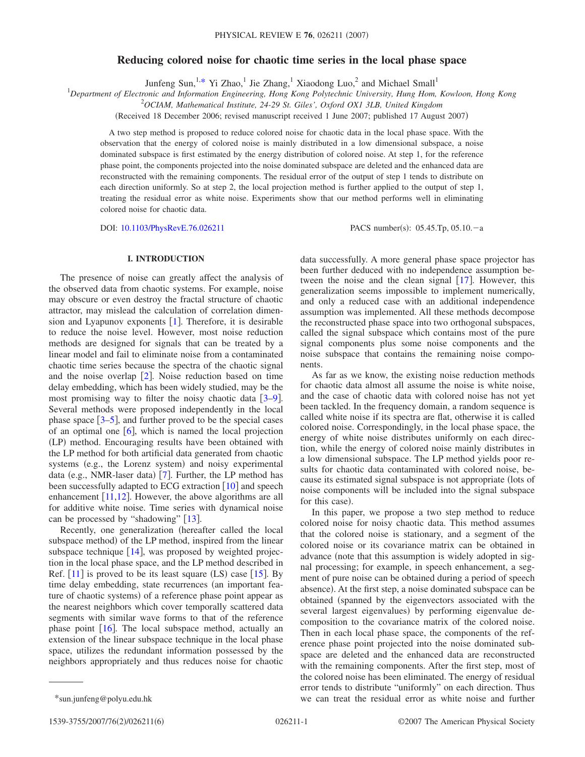# **Reducing colored noise for chaotic time series in the local phase space**

Junfeng Sun,<sup>1[,\\*](#page-0-0)</sup> Yi Zhao,<sup>1</sup> Jie Zhang,<sup>1</sup> Xiaodong Luo,<sup>2</sup> and Michael Small<sup>1</sup>

1 *Department of Electronic and Information Engineering, Hong Kong Polytechnic University, Hung Hom, Kowloon, Hong Kong*

2 *OCIAM, Mathematical Institute, 24-29 St. Giles', Oxford OX1 3LB, United Kingdom*

(Received 18 December 2006; revised manuscript received 1 June 2007; published 17 August 2007)

A two step method is proposed to reduce colored noise for chaotic data in the local phase space. With the observation that the energy of colored noise is mainly distributed in a low dimensional subspace, a noise dominated subspace is first estimated by the energy distribution of colored noise. At step 1, for the reference phase point, the components projected into the noise dominated subspace are deleted and the enhanced data are reconstructed with the remaining components. The residual error of the output of step 1 tends to distribute on each direction uniformly. So at step 2, the local projection method is further applied to the output of step 1, treating the residual error as white noise. Experiments show that our method performs well in eliminating colored noise for chaotic data.

DOI: [10.1103/PhysRevE.76.026211](http://dx.doi.org/10.1103/PhysRevE.76.026211)

PACS number(s):  $05.45$ .Tp,  $05.10$ . - a

## **I. INTRODUCTION**

The presence of noise can greatly affect the analysis of the observed data from chaotic systems. For example, noise may obscure or even destroy the fractal structure of chaotic attractor, may mislead the calculation of correlation dimension and Lyapunov exponents  $[1]$  $[1]$  $[1]$ . Therefore, it is desirable to reduce the noise level. However, most noise reduction methods are designed for signals that can be treated by a linear model and fail to eliminate noise from a contaminated chaotic time series because the spectra of the chaotic signal and the noise overlap  $\lceil 2 \rceil$  $\lceil 2 \rceil$  $\lceil 2 \rceil$ . Noise reduction based on time delay embedding, which has been widely studied, may be the most promising way to filter the noisy chaotic data  $[3-9]$  $[3-9]$  $[3-9]$ . Several methods were proposed independently in the local phase space  $[3-5]$  $[3-5]$  $[3-5]$ , and further proved to be the special cases of an optimal one  $\lceil 6 \rceil$  $\lceil 6 \rceil$  $\lceil 6 \rceil$ , which is named the local projection (LP) method. Encouraging results have been obtained with the LP method for both artificial data generated from chaotic systems (e.g., the Lorenz system) and noisy experimental data (e.g., NMR-laser data) [[7](#page-5-6)]. Further, the LP method has been successfully adapted to ECG extraction  $\lceil 10 \rceil$  $\lceil 10 \rceil$  $\lceil 10 \rceil$  and speech enhancement  $[11,12]$  $[11,12]$  $[11,12]$  $[11,12]$ . However, the above algorithms are all for additive white noise. Time series with dynamical noise can be processed by "shadowing"  $[13]$  $[13]$  $[13]$ .

Recently, one generalization (hereafter called the local subspace method) of the LP method, inspired from the linear subspace technique  $[14]$  $[14]$  $[14]$ , was proposed by weighted projection in the local phase space, and the LP method described in Ref.  $[11]$  $[11]$  $[11]$  is proved to be its least square  $(LS)$  case  $[15]$  $[15]$  $[15]$ . By time delay embedding, state recurrences (an important feature of chaotic systems) of a reference phase point appear as the nearest neighbors which cover temporally scattered data segments with similar wave forms to that of the reference phase point  $[16]$  $[16]$  $[16]$ . The local subspace method, actually an extension of the linear subspace technique in the local phase space, utilizes the redundant information possessed by the neighbors appropriately and thus reduces noise for chaotic data successfully. A more general phase space projector has been further deduced with no independence assumption between the noise and the clean signal  $\lceil 17 \rceil$  $\lceil 17 \rceil$  $\lceil 17 \rceil$ . However, this generalization seems impossible to implement numerically, and only a reduced case with an additional independence assumption was implemented. All these methods decompose the reconstructed phase space into two orthogonal subspaces, called the signal subspace which contains most of the pure signal components plus some noise components and the noise subspace that contains the remaining noise components.

As far as we know, the existing noise reduction methods for chaotic data almost all assume the noise is white noise, and the case of chaotic data with colored noise has not yet been tackled. In the frequency domain, a random sequence is called white noise if its spectra are flat, otherwise it is called colored noise. Correspondingly, in the local phase space, the energy of white noise distributes uniformly on each direction, while the energy of colored noise mainly distributes in a low dimensional subspace. The LP method yields poor results for chaotic data contaminated with colored noise, because its estimated signal subspace is not appropriate (lots of noise components will be included into the signal subspace for this case).

In this paper, we propose a two step method to reduce colored noise for noisy chaotic data. This method assumes that the colored noise is stationary, and a segment of the colored noise or its covariance matrix can be obtained in advance (note that this assumption is widely adopted in signal processing; for example, in speech enhancement, a segment of pure noise can be obtained during a period of speech absence). At the first step, a noise dominated subspace can be obtained (spanned by the eigenvectors associated with the several largest eigenvalues) by performing eigenvalue decomposition to the covariance matrix of the colored noise. Then in each local phase space, the components of the reference phase point projected into the noise dominated subspace are deleted and the enhanced data are reconstructed with the remaining components. After the first step, most of the colored noise has been eliminated. The energy of residual error tends to distribute "uniformly" on each direction. Thus \*sun.junfeng@polyu.edu.hk we can treat the residual error as white noise and further

<span id="page-0-0"></span>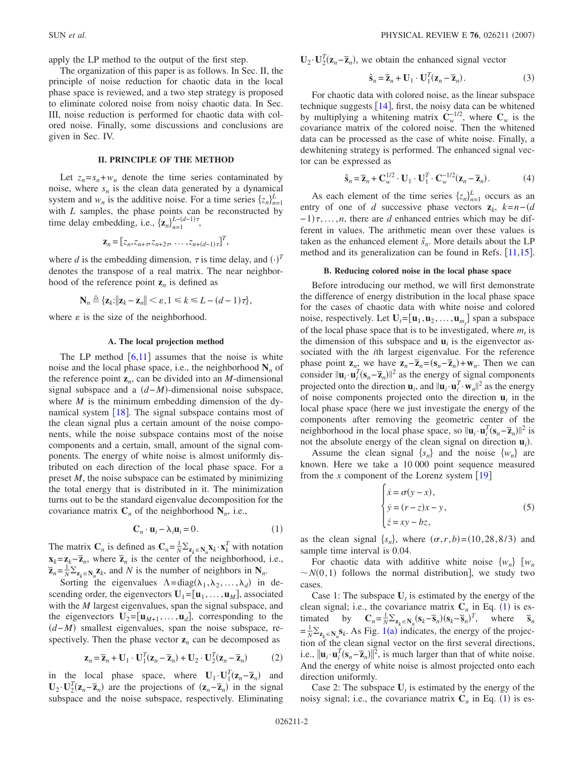apply the LP method to the output of the first step.

The organization of this paper is as follows. In Sec. II, the principle of noise reduction for chaotic data in the local phase space is reviewed, and a two step strategy is proposed to eliminate colored noise from noisy chaotic data. In Sec. III, noise reduction is performed for chaotic data with colored noise. Finally, some discussions and conclusions are given in Sec. IV.

### **II. PRINCIPLE OF THE METHOD**

Let  $z_n = s_n + w_n$  denote the time series contaminated by noise, where  $s_n$  is the clean data generated by a dynamical system and  $w_n$  is the additive noise. For a time series  $\{z_n\}_{n=1}^L$ with *L* samples, the phase points can be reconstructed by time delay embedding, i.e.,  $\{z_n\}_{n=1}^{L-(d-1)\tau}$ ,

$$
\mathbf{z}_n = [z_n, z_{n+\tau}, z_{n+2\tau}, \dots, z_{n+(d-1)\tau}]^T,
$$

where *d* is the embedding dimension,  $\tau$  is time delay, and  $(\cdot)^T$ denotes the transpose of a real matrix. The near neighborhood of the reference point  $z_n$  is defined as

$$
\mathbf{N}_n \triangleq \{ \mathbf{z}_k : ||\mathbf{z}_k - \mathbf{z}_n|| < \varepsilon, 1 \le k \le L - (d-1)\tau \},
$$

where  $\varepsilon$  is the size of the neighborhood.

# **A. The local projection method**

The LP method  $[6,11]$  $[6,11]$  $[6,11]$  $[6,11]$  assumes that the noise is white noise and the local phase space, i.e., the neighborhood  $N_n$  of the reference point  $z_n$ , can be divided into an *M*-dimensional signal subspace and a *d*−*M*--dimensional noise subspace, where  $M$  is the minimum embedding dimension of the dynamical system  $\lceil 18 \rceil$  $\lceil 18 \rceil$  $\lceil 18 \rceil$ . The signal subspace contains most of the clean signal plus a certain amount of the noise components, while the noise subspace contains most of the noise components and a certain, small, amount of the signal components. The energy of white noise is almost uniformly distributed on each direction of the local phase space. For a preset *M*, the noise subspace can be estimated by minimizing the total energy that is distributed in it. The minimization turns out to be the standard eigenvalue decomposition for the covariance matrix  $C_n$  of the neighborhood  $N_n$ , i.e.,

$$
\mathbf{C}_n \cdot \mathbf{u}_i - \lambda_i \mathbf{u}_i = 0. \tag{1}
$$

<span id="page-1-0"></span>The matrix  $\mathbf{C}_n$  is defined as  $\mathbf{C}_n = \frac{1}{N} \sum_{\mathbf{z}_k \in \mathbf{N}_n} \mathbf{x}_k \cdot \mathbf{x}_k^T$  with notation  $\mathbf{x}_k = \mathbf{z}_k - \overline{\mathbf{z}}_n$ , where  $\overline{\mathbf{z}}_n$  is the center of the neighborhood, i.e.,  $\overline{z}_n = \frac{1}{N} \sum_{z_k \in \mathbb{N}_n} z_k$ , and *N* is the number of neighbors in  $\mathbb{N}_n$ .

Sorting the eigenvalues  $\Lambda = diag(\lambda_1, \lambda_2, ..., \lambda_d)$  in descending order, the eigenvectors  $U_1 = [\mathbf{u}_1, \dots, \mathbf{u}_M]$ , associated with the *M* largest eigenvalues, span the signal subspace, and the eigenvectors  $\mathbf{U}_2 = [\mathbf{u}_{M+1}, \dots, \mathbf{u}_d]$ , corresponding to the *(d*−*M*) smallest eigenvalues, span the noise subspace, respectively. Then the phase vector  $z_n$  can be decomposed as

$$
\mathbf{z}_n = \overline{\mathbf{z}}_n + \mathbf{U}_1 \cdot \mathbf{U}_1^T (\mathbf{z}_n - \overline{\mathbf{z}}_n) + \mathbf{U}_2 \cdot \mathbf{U}_2^T (\mathbf{z}_n - \overline{\mathbf{z}}_n)
$$
 (2)

in the local phase space, where  $\mathbf{U}_1 \cdot \mathbf{U}_1^T(\mathbf{z}_n - \overline{\mathbf{z}}_n)$  and  $\mathbf{U}_2 \cdot \mathbf{U}_2^T(\mathbf{z}_n - \overline{\mathbf{z}}_n)$  are the projections of  $(\mathbf{z}_n - \overline{\mathbf{z}}_n)$  in the signal subspace and the noise subspace, respectively. Eliminating  $\mathbf{U}_2 \cdot \mathbf{U}_2^T(\mathbf{z}_n - \overline{\mathbf{z}}_n)$ , we obtain the enhanced signal vector

$$
\hat{\mathbf{s}}_n = \overline{\mathbf{z}}_n + \mathbf{U}_1 \cdot \mathbf{U}_1^T (\mathbf{z}_n - \overline{\mathbf{z}}_n). \tag{3}
$$

For chaotic data with colored noise, as the linear subspace technique suggests  $[14]$  $[14]$  $[14]$ , first, the noisy data can be whitened by multiplying a whitening matrix  $C_w^{-1/2}$ , where  $C_w$  is the covariance matrix of the colored noise. Then the whitened data can be processed as the case of white noise. Finally, a dewhitening strategy is performed. The enhanced signal vector can be expressed as

$$
\hat{\mathbf{s}}_n = \overline{\mathbf{z}}_n + \mathbf{C}_{w}^{1/2} \cdot \mathbf{U}_1 \cdot \mathbf{U}_1^T \cdot \mathbf{C}_{w}^{-1/2} (\mathbf{z}_n - \overline{\mathbf{z}}_n). \tag{4}
$$

<span id="page-1-2"></span>As each element of the time series  $\{z_n\}_{n=1}^L$  occurs as an entry of one of *d* successive phase vectors  $z_k$ ,  $k=n-(d$  $-1$ ) $\tau$ , ...,*n*, there are *d* enhanced entries which may be different in values. The arithmetic mean over these values is taken as the enhanced element  $\hat{s}_n$ . More details about the LP method and its generalization can be found in Refs.  $[11,15]$  $[11,15]$  $[11,15]$  $[11,15]$ .

#### **B. Reducing colored noise in the local phase space**

Before introducing our method, we will first demonstrate the difference of energy distribution in the local phase space for the cases of chaotic data with white noise and colored noise, respectively. Let  $U_t = [\mathbf{u}_1, \mathbf{u}_2, \dots, \mathbf{u}_{m_t}]$  span a subspace of the local phase space that is to be investigated, where  $m_t$  is the dimension of this subspace and  $\mathbf{u}_i$  is the eigenvector associated with the *i*th largest eigenvalue. For the reference phase point  $\mathbf{z}_n$ , we have  $\mathbf{z}_n - \overline{\mathbf{z}}_n = (\mathbf{s}_n - \overline{\mathbf{z}}_n) + \mathbf{w}_n$ . Then we can consider  $\|\mathbf{u}_i \cdot \mathbf{u}_i^T(\mathbf{s}_n - \overline{\mathbf{z}}_n)\|^2$  as the energy of signal components projected onto the direction  $\mathbf{u}_i$ , and  $\|\mathbf{u}_i \cdot \mathbf{u}_i^T \cdot \mathbf{w}_n\|^2$  as the energy of noise components projected onto the direction  $\mathbf{u}_i$  in the local phase space (here we just investigate the energy of the components after removing the geometric center of the neighborhood in the local phase space, so  $\|\mathbf{u}_i \cdot \mathbf{u}_i^T (\mathbf{s}_n - \overline{\mathbf{z}}_n)\|^2$  is not the absolute energy of the clean signal on direction  $\mathbf{u}_i$ ).

<span id="page-1-1"></span>Assume the clean signal  $\{s_n\}$  and the noise  $\{w_n\}$  are known. Here we take a 10 000 point sequence measured from the *x* component of the Lorenz system  $\lceil 19 \rceil$  $\lceil 19 \rceil$  $\lceil 19 \rceil$ 

$$
\begin{cases}\n\dot{x} = \sigma(y - x), \\
\dot{y} = (r - z)x - y, \\
\dot{z} = xy - bz,\n\end{cases}
$$
\n(5)

as the clean signal  $\{s_n\}$ , where  $(\sigma, r, b) = (10, 28, 8/3)$  and sample time interval is 0.04.

For chaotic data with additive white noise  $\{w_n\}$   $[w_n]$  $\sim N(0, 1)$  follows the normal distribution], we study two cases.

Case 1: The subspace  $U_t$  is estimated by the energy of the clean signal; i.e., the covariance matrix  $C_n$  in Eq. ([1](#page-1-0)) is estimated by  $C_n = \frac{1}{N} \sum_{\mathbf{z}_k \in \mathbf{N}_n} (\mathbf{s}_k - \overline{\mathbf{s}}_n)(\mathbf{s}_k - \overline{\mathbf{s}}_n)^T$ , where  $\overline{\mathbf{s}}_n$  $=\frac{1}{N}\sum_{\mathbf{z}_k \in \mathbf{N}_n} \mathbf{s}_k$  $=\frac{1}{N}\sum_{\mathbf{z}_k \in \mathbf{N}_n} \mathbf{s}_k$  $=\frac{1}{N}\sum_{\mathbf{z}_k \in \mathbf{N}_n} \mathbf{s}_k$ . As Fig. 1(a) indicates, the energy of the projection of the clean signal vector on the first several directions, i.e.,  $\|\mathbf{u}_i \cdot \mathbf{u}_i^T(\mathbf{s}_n - \overline{\mathbf{z}}_n)\|^2$ , is much larger than that of white noise. And the energy of white noise is almost projected onto each direction uniformly.

Case 2: The subspace  $U_t$  is estimated by the energy of the noisy signal; i.e., the covariance matrix  $C_n$  in Eq. ([1](#page-1-0)) is es-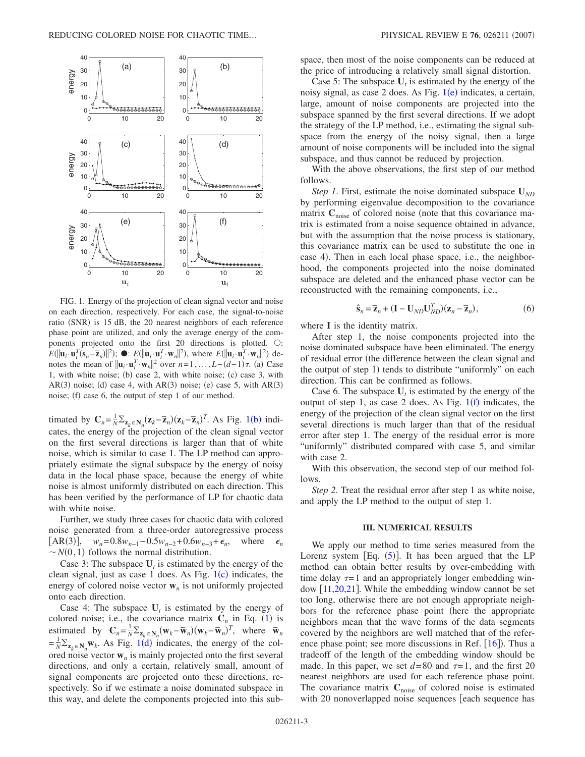<span id="page-2-0"></span>

FIG. 1. Energy of the projection of clean signal vector and noise on each direction, respectively. For each case, the signal-to-noise ratio (SNR) is 15 dB, the 20 nearest neighbors of each reference phase point are utilized, and only the average energy of the components projected onto the first  $20$  directions is plotted.  $\bigcirc$ :  $E(\|\mathbf{u}_i \cdot \mathbf{u}_i^T(\mathbf{s}_n - \overline{\mathbf{z}}_n)\|^2)$ ;  $\bullet$ :  $E(\|\mathbf{u}_i \cdot \mathbf{u}_i^T \cdot \mathbf{w}_n\|^2)$ , where  $E(\|\mathbf{u}_i \cdot \mathbf{u}_i^T \cdot \mathbf{w}_n\|^2)$  denotes the mean of  $\|\mathbf{u}_i \cdot \mathbf{u}_i^T \cdot \mathbf{w}_n\|^2$  over  $n = 1, ..., L - (d-1)\tau$ . (a) Case 1, with white noise; (b) case 2, with white noise; (c) case 3, with  $AR(3)$  noise; (d) case 4, with  $AR(3)$  noise; (e) case 5, with  $AR(3)$ noise; (f) case 6, the output of step 1 of our method.

timated by  $\mathbf{C}_n = \frac{1}{N} \sum_{\mathbf{z}_k \in \mathbf{N}_n} (\mathbf{z}_k - \overline{\mathbf{z}}_n)(\mathbf{z}_k - \overline{\mathbf{z}}_n)^T$  $\mathbf{C}_n = \frac{1}{N} \sum_{\mathbf{z}_k \in \mathbf{N}_n} (\mathbf{z}_k - \overline{\mathbf{z}}_n)(\mathbf{z}_k - \overline{\mathbf{z}}_n)^T$  $\mathbf{C}_n = \frac{1}{N} \sum_{\mathbf{z}_k \in \mathbf{N}_n} (\mathbf{z}_k - \overline{\mathbf{z}}_n)(\mathbf{z}_k - \overline{\mathbf{z}}_n)^T$ . As Fig. 1(b) indicates, the energy of the projection of the clean signal vector on the first several directions is larger than that of white noise, which is similar to case 1. The LP method can appropriately estimate the signal subspace by the energy of noisy data in the local phase space, because the energy of white noise is almost uniformly distributed on each direction. This has been verified by the performance of LP for chaotic data with white noise.

Further, we study three cases for chaotic data with colored noise generated from a three-order autoregressive process  $[AR(3)],$   $w_n = 0.8w_{n-1} - 0.5w_{n-2} + 0.6w_{n-3} + \epsilon_n$ , where  $\epsilon_n$  $\sim N(0, 1)$  follows the normal distribution.

Case 3: The subspace  $U_t$  is estimated by the energy of the clean signal, just as case [1](#page-2-0) does. As Fig.  $1(c)$  indicates, the energy of colored noise vector  $w<sub>n</sub>$  is not uniformly projected onto each direction.

Case 4: The subspace  $U_t$  is estimated by the energy of colored noise; i.e., the covariance matrix  $C_n$  in Eq. ([1](#page-1-0)) is estimated by  $\mathbf{C}_n = \frac{1}{N} \sum_{\mathbf{z}_k \in \mathbf{N}_n} (\mathbf{w}_k - \overline{\mathbf{w}}_n)(\mathbf{w}_k - \overline{\mathbf{w}}_n)^T$ , where  $\overline{\mathbf{w}}_n$  $=\frac{1}{N}\sum_{\mathbf{z}_k \in \mathbf{N}_n} \mathbf{w}_k$  $=\frac{1}{N}\sum_{\mathbf{z}_k \in \mathbf{N}_n} \mathbf{w}_k$  $=\frac{1}{N}\sum_{\mathbf{z}_k \in \mathbf{N}_n} \mathbf{w}_k$ . As Fig. 1(d) indicates, the energy of the colored noise vector  $w_n$  is mainly projected onto the first several directions, and only a certain, relatively small, amount of signal components are projected onto these directions, respectively. So if we estimate a noise dominated subspace in this way, and delete the components projected into this subspace, then most of the noise components can be reduced at the price of introducing a relatively small signal distortion.

Case 5: The subspace  $U_t$  is estimated by the energy of the noisy signal, as case 2 does. As Fig. [1](#page-2-0)(e) indicates, a certain, large, amount of noise components are projected into the subspace spanned by the first several directions. If we adopt the strategy of the LP method, i.e., estimating the signal subspace from the energy of the noisy signal, then a large amount of noise components will be included into the signal subspace, and thus cannot be reduced by projection.

With the above observations, the first step of our method follows.

*Step 1*. First, estimate the noise dominated subspace **U***ND* by performing eigenvalue decomposition to the covariance matrix  $C_{noise}$  of colored noise (note that this covariance matrix is estimated from a noise sequence obtained in advance, but with the assumption that the noise process is stationary, this covariance matrix can be used to substitute the one in case 4). Then in each local phase space, i.e., the neighborhood, the components projected into the noise dominated subspace are deleted and the enhanced phase vector can be reconstructed with the remaining components, i.e.,

$$
\hat{\mathbf{s}}_n = \overline{\mathbf{z}}_n + (\mathbf{I} - \mathbf{U}_{ND} \mathbf{U}_{ND}^T)(\mathbf{z}_n - \overline{\mathbf{z}}_n),
$$
\n(6)

where **I** is the identity matrix.

After step 1, the noise components projected into the noise dominated subspace have been eliminated. The energy of residual error (the difference between the clean signal and the output of step 1) tends to distribute "uniformly" on each direction. This can be confirmed as follows.

Case 6. The subspace  $U_t$  is estimated by the energy of the output of step [1](#page-2-0), as case 2 does. As Fig.  $1(f)$  indicates, the energy of the projection of the clean signal vector on the first several directions is much larger than that of the residual error after step 1. The energy of the residual error is more "uniformly" distributed compared with case 5, and similar with case 2.

With this observation, the second step of our method follows.

*Step 2*. Treat the residual error after step 1 as white noise, and apply the LP method to the output of step 1.

#### **III. NUMERICAL RESULTS**

We apply our method to time series measured from the Lorenz system  $[Eq. (5)]$  $[Eq. (5)]$  $[Eq. (5)]$ . It has been argued that the LP method can obtain better results by over-embedding with time delay  $\tau = 1$  and an appropriately longer embedding window  $[11,20,21]$  $[11,20,21]$  $[11,20,21]$  $[11,20,21]$  $[11,20,21]$ . While the embedding window cannot be set too long, otherwise there are not enough appropriate neighbors for the reference phase point (here the appropriate neighbors mean that the wave forms of the data segments covered by the neighbors are well matched that of the refer-ence phase point; see more discussions in Ref. [[16](#page-5-13)]). Thus a tradeoff of the length of the embedding window should be made. In this paper, we set  $d=80$  and  $\tau=1$ , and the first 20 nearest neighbors are used for each reference phase point. The covariance matrix  $C_{noise}$  of colored noise is estimated with 20 nonoverlapped noise sequences [each sequence has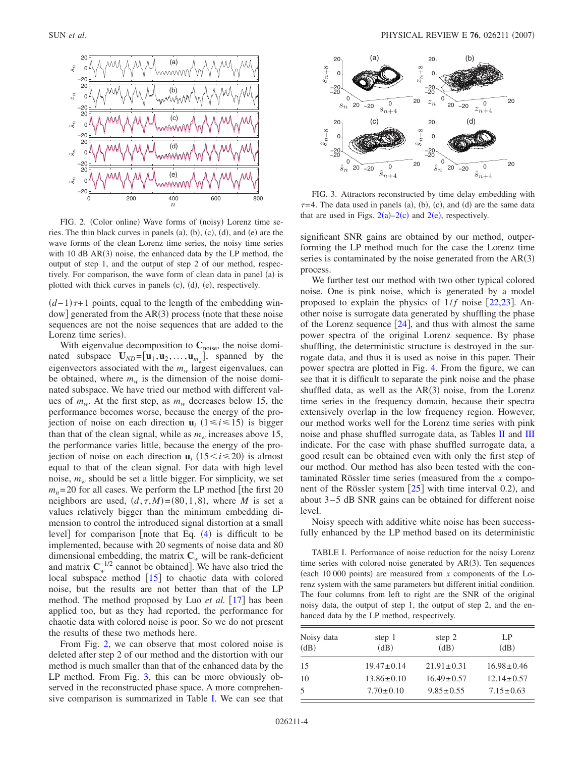<span id="page-3-0"></span>

FIG. 2. (Color online) Wave forms of (noisy) Lorenz time series. The thin black curves in panels  $(a)$ ,  $(b)$ ,  $(c)$ ,  $(d)$ , and  $(e)$  are the wave forms of the clean Lorenz time series, the noisy time series with  $10$  dB AR $(3)$  noise, the enhanced data by the LP method, the output of step 1, and the output of step 2 of our method, respectively. For comparison, the wave form of clean data in panel (a) is plotted with thick curves in panels (c), (d), (e), respectively.

 $(d-1)\tau+1$  points, equal to the length of the embedding win $dow$ ] generated from the  $AR(3)$  process (note that these noise sequences are not the noise sequences that are added to the Lorenz time series).

With eigenvalue decomposition to  $C_{noise}$ , the noise dominated subspace  $\mathbf{U}_{ND} = [\mathbf{u}_1, \mathbf{u}_2, \dots, \mathbf{u}_{m_w}]$ , spanned by the eigenvectors associated with the  $m_w$  largest eigenvalues, can be obtained, where  $m_w$  is the dimension of the noise dominated subspace. We have tried our method with different values of  $m_w$ . At the first step, as  $m_w$  decreases below 15, the performance becomes worse, because the energy of the projection of noise on each direction  $\mathbf{u}_i$  ( $1 \le i \le 15$ ) is bigger than that of the clean signal, while as  $m_w$  increases above 15, the performance varies little, because the energy of the projection of noise on each direction  $\mathbf{u}_i$  (15 < *i* ≤ 20) is almost equal to that of the clean signal. For data with high level noise,  $m_w$  should be set a little bigger. For simplicity, we set  $m_n$ = 20 for all cases. We perform the LP method [the first 20 neighbors are used,  $(d, \tau, M) = (80, 1, 8)$ , where *M* is set a values relatively bigger than the minimum embedding dimension to control the introduced signal distortion at a small level] for comparison [note that Eq. ([4](#page-1-2)) is difficult to be implemented, because with 20 segments of noise data and 80 dimensional embedding, the matrix  $C_w$  will be rank-deficient and matrix  $\mathbf{C}_{w}^{-1/2}$  cannot be obtained]. We have also tried the local subspace method  $[15]$  $[15]$  $[15]$  to chaotic data with colored noise, but the results are not better than that of the LP method. The method proposed by Luo *et al.* [[17](#page-5-14)] has been applied too, but as they had reported, the performance for chaotic data with colored noise is poor. So we do not present the results of these two methods here.

From Fig. [2,](#page-3-0) we can observe that most colored noise is deleted after step 2 of our method and the distortion with our method is much smaller than that of the enhanced data by the LP method. From Fig. [3,](#page-3-1) this can be more obviously observed in the reconstructed phase space. A more comprehensive comparison is summarized in Table [I.](#page-3-2) We can see that

<span id="page-3-1"></span>

FIG. 3. Attractors reconstructed by time delay embedding with  $\tau$ =4. The data used in panels (a), (b), (c), and (d) are the same data that are used in Figs.  $2(a)-2(c)$  $2(a)-2(c)$  and  $2(e)$ , respectively.

significant SNR gains are obtained by our method, outperforming the LP method much for the case the Lorenz time series is contaminated by the noise generated from the  $AR(3)$ process.

We further test our method with two other typical colored noise. One is pink noise, which is generated by a model proposed to explain the physics of  $1/f$  noise  $[22,23]$  $[22,23]$  $[22,23]$  $[22,23]$ . Another noise is surrogate data generated by shuffling the phase of the Lorenz sequence  $[24]$  $[24]$  $[24]$ , and thus with almost the same power spectra of the original Lorenz sequence. By phase shuffling, the deterministic structure is destroyed in the surrogate data, and thus it is used as noise in this paper. Their power spectra are plotted in Fig. [4.](#page-4-0) From the figure, we can see that it is difficult to separate the pink noise and the phase shuffled data, as well as the  $AR(3)$  noise, from the Lorenz time series in the frequency domain, because their spectra extensively overlap in the low frequency region. However, our method works well for the Lorenz time series with pink noise and phase shuffled surrogate data, as Tables  $\overline{II}$  $\overline{II}$  $\overline{II}$  and  $\overline{III}$  $\overline{III}$  $\overline{III}$ indicate. For the case with phase shuffled surrogate data, a good result can be obtained even with only the first step of our method. Our method has also been tested with the contaminated Rössler time series (measured from the *x* component of the Rössler system  $[25]$  $[25]$  $[25]$  with time interval 0.2), and about  $3-5$  dB SNR gains can be obtained for different noise level.

Noisy speech with additive white noise has been successfully enhanced by the LP method based on its deterministic

<span id="page-3-2"></span>TABLE I. Performance of noise reduction for the noisy Lorenz time series with colored noise generated by AR(3). Ten sequences (each  $10\,000$  points) are measured from  $x$  components of the Lorenz system with the same parameters but different initial condition. The four columns from left to right are the SNR of the original noisy data, the output of step 1, the output of step 2, and the enhanced data by the LP method, respectively.

| Noisy data<br>(dB) | step 1<br>(dB)   | step 2<br>(dB)   | LP<br>(dB)       |
|--------------------|------------------|------------------|------------------|
| 15                 | $19.47 \pm 0.14$ | $21.91 \pm 0.31$ | $16.98 \pm 0.46$ |
| 10                 | $13.86 \pm 0.10$ | $16.49 \pm 0.57$ | $12.14 \pm 0.57$ |
| 5                  | $7.70 \pm 0.10$  | $9.85 \pm 0.55$  | $7.15 \pm 0.63$  |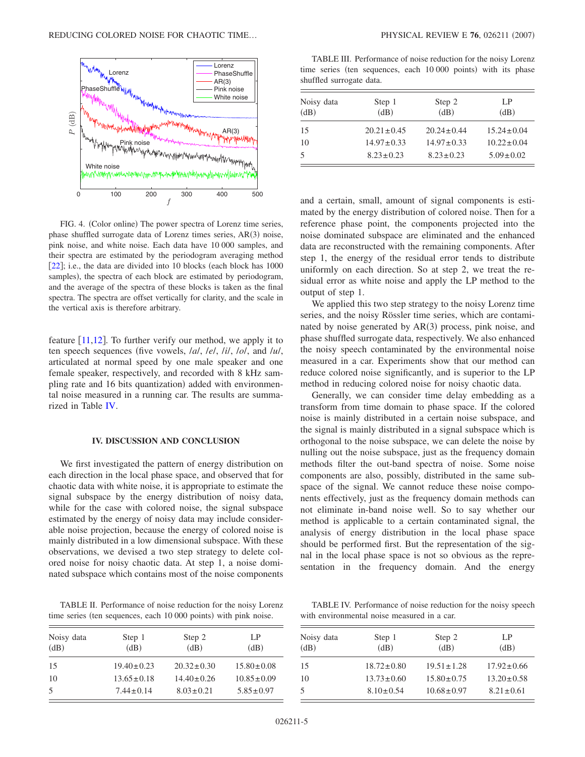<span id="page-4-0"></span>

FIG. 4. (Color online) The power spectra of Lorenz time series, phase shuffled surrogate data of Lorenz times series, AR(3) noise, pink noise, and white noise. Each data have 10 000 samples, and their spectra are estimated by the periodogram averaging method [ $22$ ]; i.e., the data are divided into 10 blocks (each block has  $1000$ samples), the spectra of each block are estimated by periodogram, and the average of the spectra of these blocks is taken as the final spectra. The spectra are offset vertically for clarity, and the scale in the vertical axis is therefore arbitrary.

feature  $[11,12]$  $[11,12]$  $[11,12]$  $[11,12]$ . To further verify our method, we apply it to ten speech sequences five vowels, /*a*/, /*e*/, /*i*/, /*o*/, and /*u*/, articulated at normal speed by one male speaker and one female speaker, respectively, and recorded with 8 kHz sampling rate and 16 bits quantization) added with environmental noise measured in a running car. The results are summarized in Table [IV.](#page-4-3)

## **IV. DISCUSSION AND CONCLUSION**

We first investigated the pattern of energy distribution on each direction in the local phase space, and observed that for chaotic data with white noise, it is appropriate to estimate the signal subspace by the energy distribution of noisy data, while for the case with colored noise, the signal subspace estimated by the energy of noisy data may include considerable noise projection, because the energy of colored noise is mainly distributed in a low dimensional subspace. With these observations, we devised a two step strategy to delete colored noise for noisy chaotic data. At step 1, a noise dominated subspace which contains most of the noise components

<span id="page-4-1"></span>TABLE II. Performance of noise reduction for the noisy Lorenz time series (ten sequences, each 10 000 points) with pink noise.

| Noisy data<br>(dB) | Step 1<br>(dB)   | Step 2<br>(dB)   | LP<br>(dB)       |
|--------------------|------------------|------------------|------------------|
| 15                 | $19.40 \pm 0.23$ | $20.32 \pm 0.30$ | $15.80 \pm 0.08$ |
| 10                 | $13.65 \pm 0.18$ | $14.40 \pm 0.26$ | $10.85 \pm 0.09$ |
| .5                 | $7.44 \pm 0.14$  | $8.03 \pm 0.21$  | $5.85 \pm 0.97$  |

<span id="page-4-2"></span>TABLE III. Performance of noise reduction for the noisy Lorenz time series (ten sequences, each 10 000 points) with its phase shuffled surrogate data.

| Noisy data<br>(dB) | Step 1<br>(dB)   | Step 2<br>(dB)   | LP<br>(dB)       |
|--------------------|------------------|------------------|------------------|
| 15                 | $20.21 \pm 0.45$ | $20.24 \pm 0.44$ | $15.24 \pm 0.04$ |
| 10                 | $14.97 \pm 0.33$ | $14.97 \pm 0.33$ | $10.22 \pm 0.04$ |
| 5                  | $8.23 \pm 0.23$  | $8.23 \pm 0.23$  | $5.09 \pm 0.02$  |

and a certain, small, amount of signal components is estimated by the energy distribution of colored noise. Then for a reference phase point, the components projected into the noise dominated subspace are eliminated and the enhanced data are reconstructed with the remaining components. After step 1, the energy of the residual error tends to distribute uniformly on each direction. So at step 2, we treat the residual error as white noise and apply the LP method to the output of step 1.

We applied this two step strategy to the noisy Lorenz time series, and the noisy Rössler time series, which are contaminated by noise generated by AR(3) process, pink noise, and phase shuffled surrogate data, respectively. We also enhanced the noisy speech contaminated by the environmental noise measured in a car. Experiments show that our method can reduce colored noise significantly, and is superior to the LP method in reducing colored noise for noisy chaotic data.

Generally, we can consider time delay embedding as a transform from time domain to phase space. If the colored noise is mainly distributed in a certain noise subspace, and the signal is mainly distributed in a signal subspace which is orthogonal to the noise subspace, we can delete the noise by nulling out the noise subspace, just as the frequency domain methods filter the out-band spectra of noise. Some noise components are also, possibly, distributed in the same subspace of the signal. We cannot reduce these noise components effectively, just as the frequency domain methods can not eliminate in-band noise well. So to say whether our method is applicable to a certain contaminated signal, the analysis of energy distribution in the local phase space should be performed first. But the representation of the signal in the local phase space is not so obvious as the representation in the frequency domain. And the energy

<span id="page-4-3"></span>TABLE IV. Performance of noise reduction for the noisy speech with environmental noise measured in a car.

| Noisy data<br>(dB) | Step 1<br>(dB)   | Step 2<br>(dB)   | LP<br>(dB)       |
|--------------------|------------------|------------------|------------------|
| 15                 | $18.72 \pm 0.80$ | $19.51 \pm 1.28$ | $17.92 \pm 0.66$ |
| 10                 | $13.73 \pm 0.60$ | $15.80 \pm 0.75$ | $13.20 \pm 0.58$ |
| 5                  | $8.10 \pm 0.54$  | $10.68 \pm 0.97$ | $8.21 \pm 0.61$  |